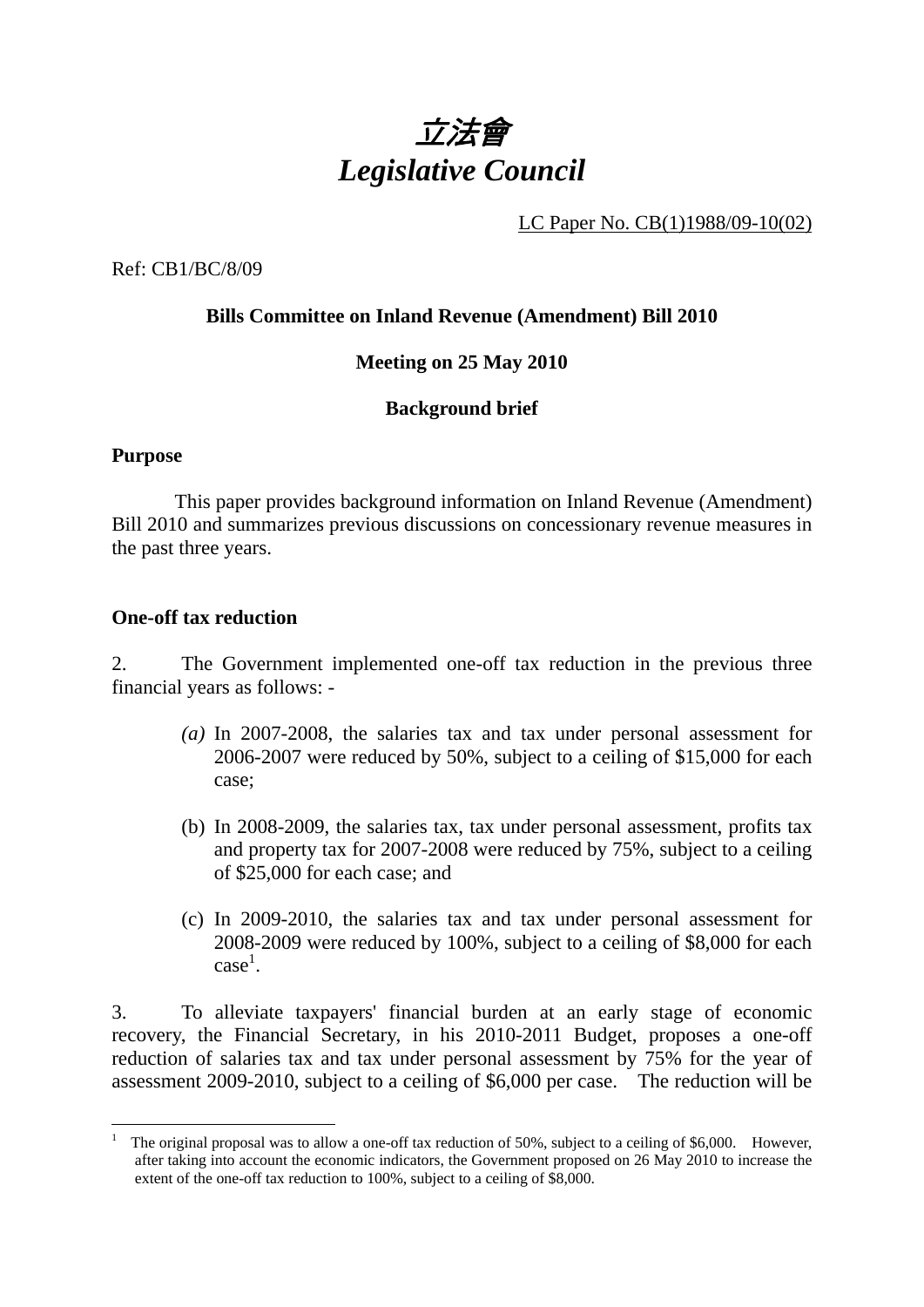

LC Paper No. CB(1)1988/09-10(02)

Ref: CB1/BC/8/09

## **Bills Committee on Inland Revenue (Amendment) Bill 2010**

### **Meeting on 25 May 2010**

### **Background brief**

#### **Purpose**

 This paper provides background information on Inland Revenue (Amendment) Bill 2010 and summarizes previous discussions on concessionary revenue measures in the past three years.

#### **One-off tax reduction**

2. The Government implemented one-off tax reduction in the previous three financial years as follows: -

- *(a)* In 2007-2008, the salaries tax and tax under personal assessment for 2006-2007 were reduced by 50%, subject to a ceiling of \$15,000 for each case;
- (b) In 2008-2009, the salaries tax, tax under personal assessment, profits tax and property tax for 2007-2008 were reduced by 75%, subject to a ceiling of \$25,000 for each case; and
- (c) In 2009-2010, the salaries tax and tax under personal assessment for 2008-2009 were reduced by 100%, subject to a ceiling of \$8,000 for each  $case<sup>1</sup>$ .

3. To alleviate taxpayers' financial burden at an early stage of economic recovery, the Financial Secretary, in his 2010-2011 Budget, proposes a one-off reduction of salaries tax and tax under personal assessment by 75% for the year of assessment 2009-2010, subject to a ceiling of \$6,000 per case. The reduction will be

 $\overline{a}$ 1 The original proposal was to allow a one-off tax reduction of 50%, subject to a ceiling of \$6,000. However, after taking into account the economic indicators, the Government proposed on 26 May 2010 to increase the extent of the one-off tax reduction to 100%, subject to a ceiling of \$8,000.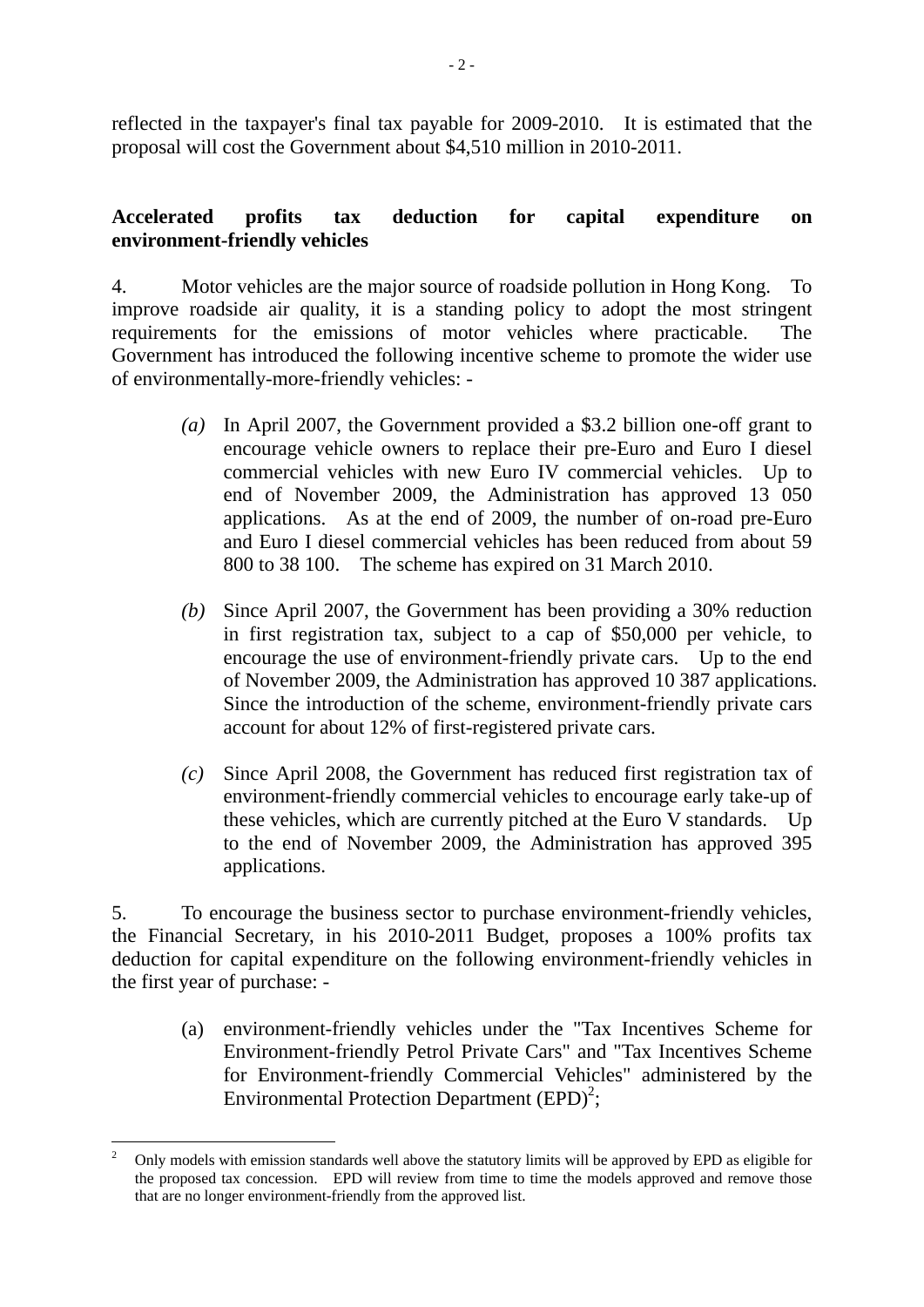reflected in the taxpayer's final tax payable for 2009-2010. It is estimated that the proposal will cost the Government about \$4,510 million in 2010-2011.

## **Accelerated profits tax deduction for capital expenditure on environment-friendly vehicles**

4. Motor vehicles are the major source of roadside pollution in Hong Kong. To improve roadside air quality, it is a standing policy to adopt the most stringent requirements for the emissions of motor vehicles where practicable.The Government has introduced the following incentive scheme to promote the wider use of environmentally-more-friendly vehicles: -

- *(a)* In April 2007, the Government provided a \$3.2 billion one-off grant to encourage vehicle owners to replace their pre-Euro and Euro I diesel commercial vehicles with new Euro IV commercial vehicles. Up to end of November 2009, the Administration has approved 13 050 applications. As at the end of 2009, the number of on-road pre-Euro and Euro I diesel commercial vehicles has been reduced from about 59 800 to 38 100. The scheme has expired on 31 March 2010.
- *(b)* Since April 2007, the Government has been providing a 30% reduction in first registration tax, subject to a cap of \$50,000 per vehicle, to encourage the use of environment-friendly private cars. Up to the end of November 2009, the Administration has approved 10 387 applications. Since the introduction of the scheme, environment-friendly private cars account for about 12% of first-registered private cars.
- *(c)* Since April 2008, the Government has reduced first registration tax of environment-friendly commercial vehicles to encourage early take-up of these vehicles, which are currently pitched at the Euro V standards. Up to the end of November 2009, the Administration has approved 395 applications.

5. To encourage the business sector to purchase environment-friendly vehicles, the Financial Secretary, in his 2010-2011 Budget, proposes a 100% profits tax deduction for capital expenditure on the following environment-friendly vehicles in the first year of purchase: -

(a) environment-friendly vehicles under the "Tax Incentives Scheme for Environment-friendly Petrol Private Cars" and "Tax Incentives Scheme for Environment-friendly Commercial Vehicles" administered by the Environmental Protection Department  $(EPD)^2$ ;

 $\overline{a}$ 2 Only models with emission standards well above the statutory limits will be approved by EPD as eligible for the proposed tax concession. EPD will review from time to time the models approved and remove those that are no longer environment-friendly from the approved list.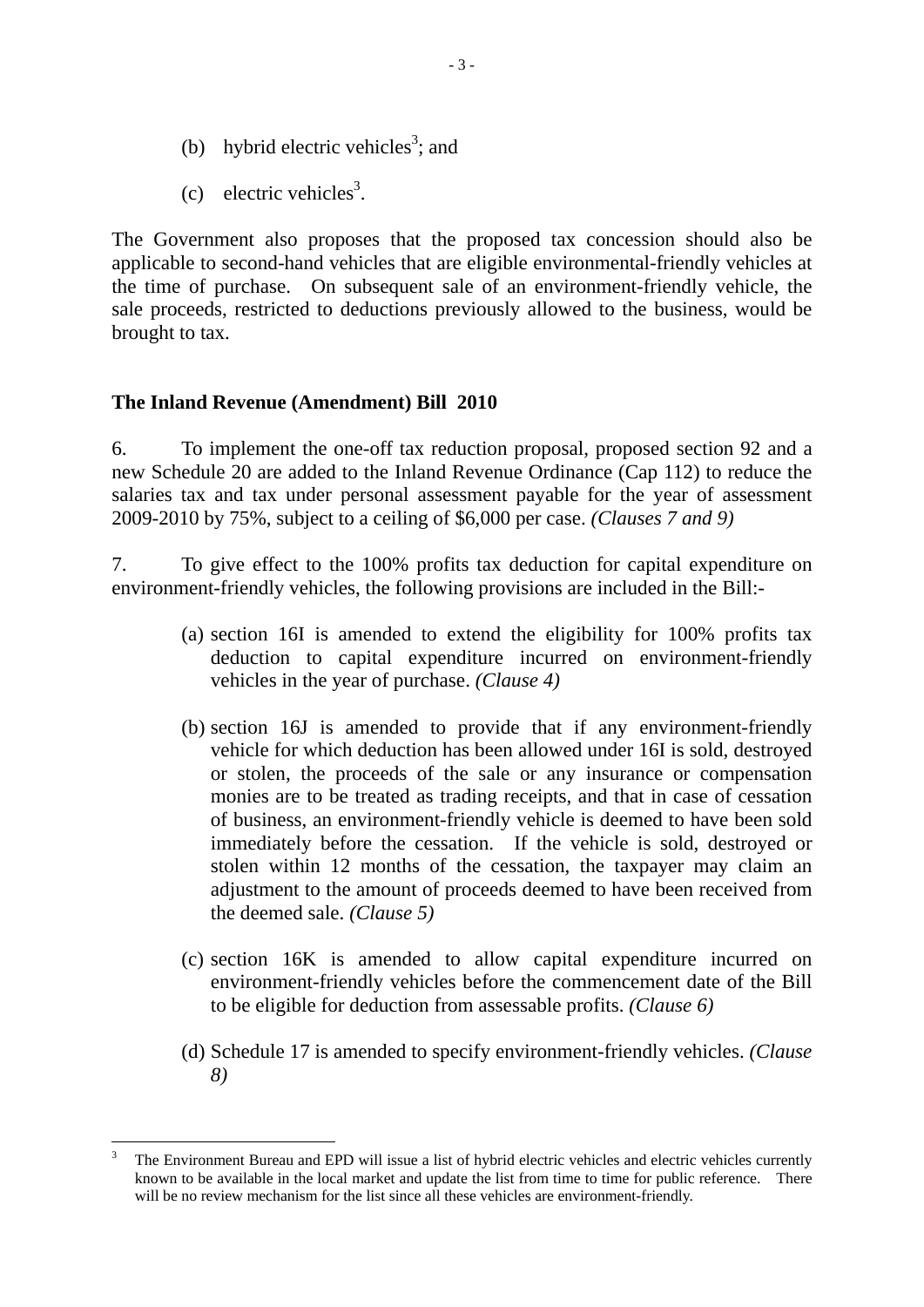- (b) hybrid electric vehicles<sup>3</sup>; and
- (c) electric vehicles<sup>3</sup>.

The Government also proposes that the proposed tax concession should also be applicable to second-hand vehicles that are eligible environmental-friendly vehicles at the time of purchase. On subsequent sale of an environment-friendly vehicle, the sale proceeds, restricted to deductions previously allowed to the business, would be brought to tax.

#### **The Inland Revenue (Amendment) Bill 2010**

6. To implement the one-off tax reduction proposal, proposed section 92 and a new Schedule 20 are added to the Inland Revenue Ordinance (Cap 112) to reduce the salaries tax and tax under personal assessment payable for the year of assessment 2009-2010 by 75%, subject to a ceiling of \$6,000 per case. *(Clauses 7 and 9)* 

7. To give effect to the 100% profits tax deduction for capital expenditure on environment-friendly vehicles, the following provisions are included in the Bill:-

- (a) section 16I is amended to extend the eligibility for 100% profits tax deduction to capital expenditure incurred on environment-friendly vehicles in the year of purchase. *(Clause 4)*
- (b) section 16J is amended to provide that if any environment-friendly vehicle for which deduction has been allowed under 16I is sold, destroyed or stolen, the proceeds of the sale or any insurance or compensation monies are to be treated as trading receipts, and that in case of cessation of business, an environment-friendly vehicle is deemed to have been sold immediately before the cessation. If the vehicle is sold, destroyed or stolen within 12 months of the cessation, the taxpayer may claim an adjustment to the amount of proceeds deemed to have been received from the deemed sale. *(Clause 5)*
- (c) section 16K is amended to allow capital expenditure incurred on environment-friendly vehicles before the commencement date of the Bill to be eligible for deduction from assessable profits. *(Clause 6)*
- (d) Schedule 17 is amended to specify environment-friendly vehicles. *(Clause 8)*

 $\overline{a}$ 3 The Environment Bureau and EPD will issue a list of hybrid electric vehicles and electric vehicles currently known to be available in the local market and update the list from time to time for public reference. There will be no review mechanism for the list since all these vehicles are environment-friendly.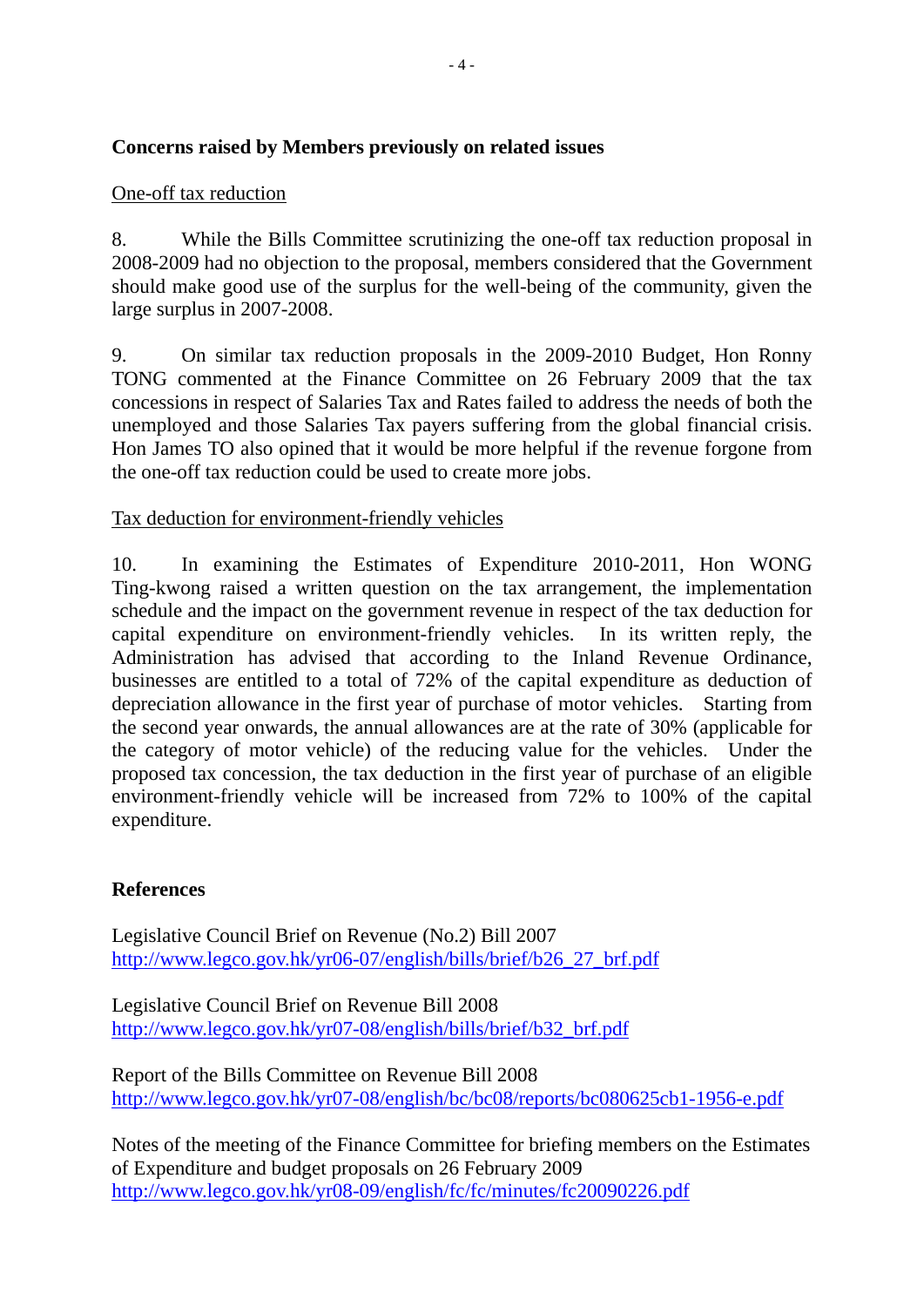# **Concerns raised by Members previously on related issues**

# One-off tax reduction

8. While the Bills Committee scrutinizing the one-off tax reduction proposal in 2008-2009 had no objection to the proposal, members considered that the Government should make good use of the surplus for the well-being of the community, given the large surplus in 2007-2008.

9. On similar tax reduction proposals in the 2009-2010 Budget, Hon Ronny TONG commented at the Finance Committee on 26 February 2009 that the tax concessions in respect of Salaries Tax and Rates failed to address the needs of both the unemployed and those Salaries Tax payers suffering from the global financial crisis. Hon James TO also opined that it would be more helpful if the revenue forgone from the one-off tax reduction could be used to create more jobs.

# Tax deduction for environment-friendly vehicles

10. In examining the Estimates of Expenditure 2010-2011, Hon WONG Ting-kwong raised a written question on the tax arrangement, the implementation schedule and the impact on the government revenue in respect of the tax deduction for capital expenditure on environment-friendly vehicles. In its written reply, the Administration has advised that according to the Inland Revenue Ordinance, businesses are entitled to a total of 72% of the capital expenditure as deduction of depreciation allowance in the first year of purchase of motor vehicles. Starting from the second year onwards, the annual allowances are at the rate of 30% (applicable for the category of motor vehicle) of the reducing value for the vehicles. Under the proposed tax concession, the tax deduction in the first year of purchase of an eligible environment-friendly vehicle will be increased from 72% to 100% of the capital expenditure.

## **References**

Legislative Council Brief on Revenue (No.2) Bill 2007 http://www.legco.gov.hk/yr06-07/english/bills/brief/b26\_27\_brf.pdf

Legislative Council Brief on Revenue Bill 2008 http://www.legco.gov.hk/yr07-08/english/bills/brief/b32\_brf.pdf

Report of the Bills Committee on Revenue Bill 2008 http://www.legco.gov.hk/yr07-08/english/bc/bc08/reports/bc080625cb1-1956-e.pdf

Notes of the meeting of the Finance Committee for briefing members on the Estimates of Expenditure and budget proposals on 26 February 2009 http://www.legco.gov.hk/yr08-09/english/fc/fc/minutes/fc20090226.pdf